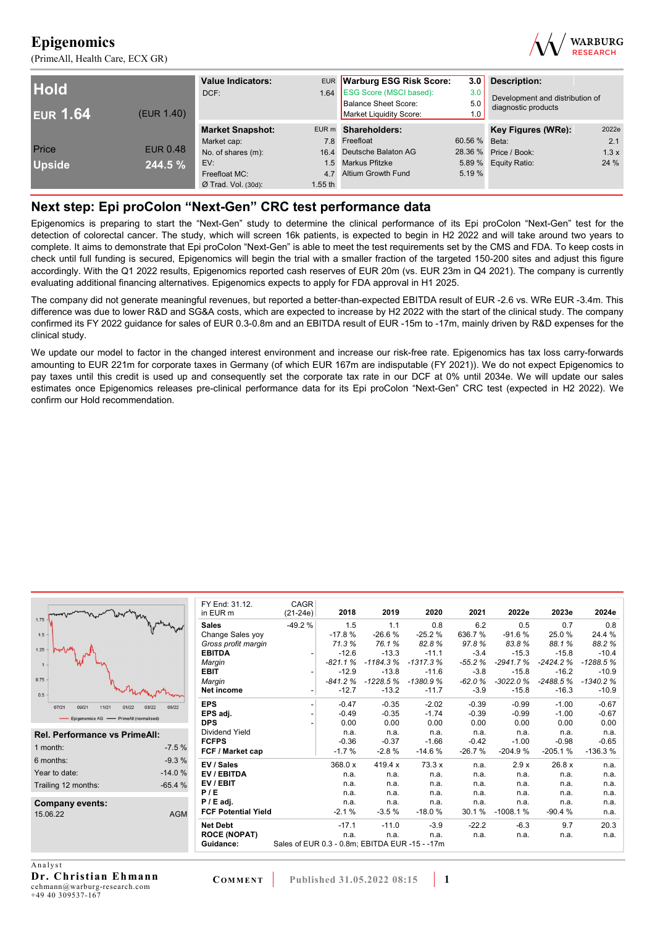(PrimeAll, Health Care, ECX GR)



| <b>Hold</b><br><b>EUR 1.64</b> | (EUR 1.40)      | <b>Value Indicators:</b><br>DCF: |           | EUR Warburg ESG Risk Score:<br>1.64 ESG Score (MSCI based):<br>Balance Sheet Score:<br>Market Liquidity Score: | 3.0<br>3.0<br>5.0<br>1.0 | <b>Description:</b><br>Development and distribution of<br>diagnostic products |       |
|--------------------------------|-----------------|----------------------------------|-----------|----------------------------------------------------------------------------------------------------------------|--------------------------|-------------------------------------------------------------------------------|-------|
|                                |                 | <b>Market Snapshot:</b>          |           | EUR m Shareholders:                                                                                            |                          | Key Figures (WRe):                                                            | 2022e |
|                                |                 | Market cap:                      |           | 7.8 Freefloat                                                                                                  | 60.56 % Beta:            |                                                                               | 2.1   |
| Price                          | <b>EUR 0.48</b> | No. of shares (m):               |           | 16.4 Deutsche Balaton AG                                                                                       |                          | 28.36 % Price / Book:                                                         | 1.3x  |
| <b>Upside</b>                  | 244.5 %         | EV:                              |           | 1.5 Markus Pfitzke                                                                                             |                          | 5.89 % Equity Ratio:                                                          | 24 %  |
|                                |                 | Freefloat MC:                    | 47        | Altium Growth Fund                                                                                             | 5.19 %                   |                                                                               |       |
|                                |                 | $Ø$ Trad. Vol. (30d):            | $1.55$ th |                                                                                                                |                          |                                                                               |       |

### **Next step: Epi proColon "Next-Gen" CRC test performance data**

Epigenomics is preparing to start the "Next-Gen" study to determine the clinical performance of its Epi proColon "Next-Gen" test for the detection of colorectal cancer. The study, which will screen 16k patients, is expected to begin in H2 2022 and will take around two years to complete. It aims to demonstrate that Epi proColon "Next-Gen" is able to meet the test requirements set by the CMS and FDA. To keep costs in check until full funding is secured, Epigenomics will begin the trial with a smaller fraction of the targeted 150-200 sites and adjust this figure accordingly. With the Q1 2022 results, Epigenomics reported cash reserves of EUR 20m (vs. EUR 23m in Q4 2021). The company is currently evaluating additional financing alternatives. Epigenomics expects to apply for FDA approval in H1 2025.

The company did not generate meaningful revenues, but reported a better-than-expected EBITDA result of EUR -2.6 vs. WRe EUR -3.4m. This difference was due to lower R&D and SG&A costs, which are expected to increase by H2 2022 with the start of the clinical study. The company confirmed its FY 2022 guidance for sales of EUR 0.3-0.8m and an EBITDA result of EUR -15m to -17m, mainly driven by R&D expenses for the clinical study.

We update our model to factor in the changed interest environment and increase our risk-free rate. Epigenomics has tax loss carry-forwards amounting to EUR 221m for corporate taxes in Germany (of which EUR 167m are indisputable (FY 2021)). We do not expect Epigenomics to pay taxes until this credit is used up and consequently set the corporate tax rate in our DCF at 0% until 2034e. We will update our sales estimates once Epigenomics releases pre-clinical performance data for its Epi proColon "Next-Gen" CRC test (expected in H2 2022). We confirm our Hold recommendation.

|                                                    | FY End: 31.12.             | CAGR       |           |            |                                                |          |            |            |            |
|----------------------------------------------------|----------------------------|------------|-----------|------------|------------------------------------------------|----------|------------|------------|------------|
| 1.75                                               | in EUR m                   | $(21-24e)$ | 2018      | 2019       | 2020                                           | 2021     | 2022e      | 2023e      | 2024e      |
|                                                    | <b>Sales</b>               | $-49.2%$   | 1.5       | 1.1        | 0.8                                            | 6.2      | 0.5        | 0.7        | 0.8        |
| 1.5                                                | Change Sales yoy           |            | $-17.8%$  | $-26.6%$   | $-25.2%$                                       | 636.7%   | $-91.6%$   | 25.0%      | 24.4 %     |
|                                                    | Gross profit margin        |            | 71.3%     | 76.1%      | 82.8%                                          | 97.8%    | 83.8%      | 88.1%      | 88.2%      |
| $1.25 -$                                           | <b>EBITDA</b>              |            | $-12.6$   | $-13.3$    | $-11.1$                                        | $-3.4$   | $-15.3$    | $-15.8$    | $-10.4$    |
|                                                    | Margin                     |            | $-821.1%$ | $-1184.3%$ | $-1317.3%$                                     | $-55.2%$ | $-2941.7%$ | $-2424.2%$ | $-1288.5%$ |
|                                                    | <b>EBIT</b>                |            | $-12.9$   | $-13.8$    | $-11.6$                                        | $-3.8$   | $-15.8$    | $-16.2$    | $-10.9$    |
| 0.75                                               | Margin                     |            | $-841.2%$ | $-1228.5%$ | $-1380.9%$                                     | $-62.0%$ | $-3022.0%$ | $-2488.5%$ | $-1340.2%$ |
| 0.5                                                | Net income                 |            | $-12.7$   | $-13.2$    | $-11.7$                                        | $-3.9$   | $-15.8$    | $-16.3$    | $-10.9$    |
| 07/21<br>09/21<br>11/21<br>05/22<br>01/22<br>03/22 | <b>EPS</b>                 |            | $-0.47$   | $-0.35$    | $-2.02$                                        | $-0.39$  | $-0.99$    | $-1.00$    | $-0.67$    |
|                                                    | EPS adj.                   |            | $-0.49$   | $-0.35$    | $-1.74$                                        | $-0.39$  | $-0.99$    | $-1.00$    | $-0.67$    |
| Epigenomics AG - PrimeAll (normalised)             | <b>DPS</b>                 |            | 0.00      | 0.00       | 0.00                                           | 0.00     | 0.00       | 0.00       | 0.00       |
| Rel. Performance vs PrimeAll:                      | Dividend Yield             |            | n.a.      | n.a.       | n.a.                                           | n.a.     | n.a.       | n.a.       | n.a.       |
|                                                    | <b>FCFPS</b>               |            | $-0.36$   | $-0.37$    | $-1.66$                                        | $-0.42$  | $-1.00$    | $-0.98$    | $-0.65$    |
| $-7.5%$<br>1 month:                                | FCF / Market cap           |            | $-1.7%$   | $-2.8%$    | $-14.6%$                                       | $-26.7%$ | $-204.9%$  | $-205.1%$  | $-136.3%$  |
| $-9.3%$<br>6 months:                               | EV / Sales                 |            | 368.0 x   | 419.4 x    | 73.3 x                                         | n.a.     | 2.9x       | 26.8 x     | n.a.       |
| $-14.0%$<br>Year to date:                          | EV / EBITDA                |            | n.a.      | n.a.       | n.a.                                           | n.a.     | n.a.       | n.a.       | n.a.       |
| $-65.4%$<br>Trailing 12 months:                    | EV/EBIT                    |            | n.a.      | n.a.       | n.a.                                           | n.a.     | n.a.       | n.a.       | n.a.       |
|                                                    | P/E                        |            | n.a.      | n.a.       | n.a.                                           | n.a.     | n.a.       | n.a.       | n.a.       |
| Company events:                                    | $P / E$ adj.               |            | n.a.      | n.a.       | n.a.                                           | n.a.     | n.a.       | n.a.       | n.a.       |
| <b>AGM</b><br>15.06.22                             | <b>FCF Potential Yield</b> |            | $-2.1%$   | $-3.5%$    | $-18.0%$                                       | 30.1%    | $-1008.1%$ | $-90.4%$   | n.a.       |
|                                                    | <b>Net Debt</b>            |            | $-17.1$   | $-11.0$    | $-3.9$                                         | $-22.2$  | $-6.3$     | 9.7        | 20.3       |
|                                                    | <b>ROCE (NOPAT)</b>        |            | n.a.      | n.a.       | n.a.                                           | n.a.     | n.a.       | n.a.       | n.a.       |
|                                                    | Guidance:                  |            |           |            | Sales of EUR 0.3 - 0.8m; EBITDA EUR -15 - -17m |          |            |            |            |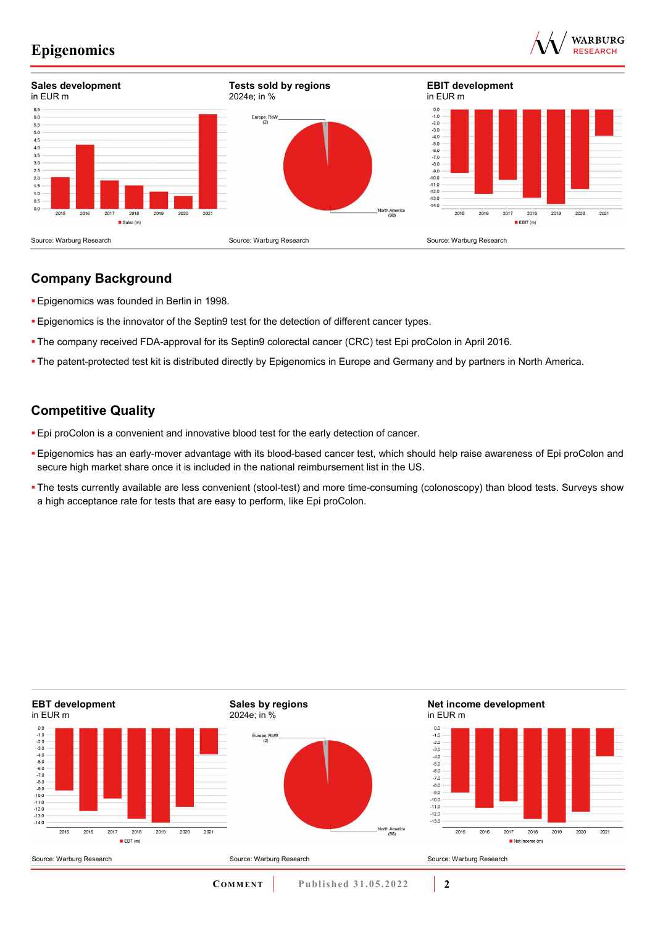



### **Company Background**

- **Epigenomics was founded in Berlin in 1998.**
- **Epigenomics is the innovator of the Septin9 test for the detection of different cancer types.**
- The company received FDA-approval for its Septin9 colorectal cancer (CRC) test Epi proColon in April 2016.
- The patent-protected test kit is distributed directly by Epigenomics in Europe and Germany and by partners in North America.

### **Competitive Quality**

- Epi proColon is a convenient and innovative blood test for the early detection of cancer.
- Epigenomics has an early-mover advantage with its blood-based cancer test, which should help raise awareness of Epi proColon and secure high market share once it is included in the national reimbursement list in the US.
- The tests currently available are less convenient (stool-test) and more time-consuming (colonoscopy) than blood tests. Surveys show a high acceptance rate for tests that are easy to perform, like Epi proColon.

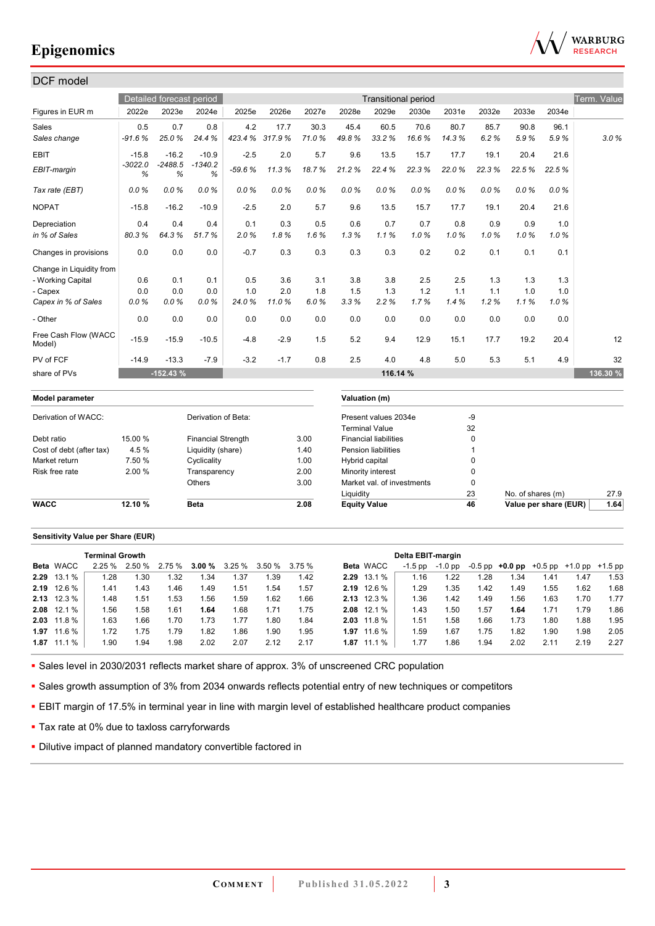

#### DCF model Detailed forecast period **Transitional period Transitional period** Transitional period Term. Value Figures in EUR m 2022e 2023e 2024e 2025e 2026e 2027e 2028e 2029e 2030e 2031e 2032e 2033e 2034e Sales 0.5 0.7 0.8 4.2 17.7 30.3 45.4 60.5 70.6 80.7 85.7 90.8 96.1 *Sales change -91.6 % 25.0 % 24.4 % 423.4 % 317.9 % 71.0 % 49.8 % 33.2 % 16.6 % 14.3 % 6.2 % 5.9 % 5.9 % 3.0 %* EBIT -15.8 -16.2 -10.9 -2.5 2.0 5.7 9.6 13.5 15.7 17.7 19.1 20.4 21.6 *EBIT-margin -3022.0 % -2488.5 % -1340.2 % -59.6 % 11.3 % 18.7 % 21.2 % 22.4 % 22.3 % 22.0 % 22.3 % 22.5 % 22.5 % Tax rate (EBT) 0.0 % 0.0 % 0.0 % 0.0 % 0.0 % 0.0 % 0.0 % 0.0 % 0.0 % 0.0 % 0.0 % 0.0 % 0.0 %*  NOPAT -15.8 -16.2 -10.9 -2.5 2.0 5.7 9.6 13.5 15.7 17.7 19.1 20.4 21.6 Depreciation 0.4 0.4 0.4 0.1 0.3 0.5 0.6 0.7 0.7 0.8 0.9 0.9 1.0 *in % of Sales 80.3 % 64.3 % 51.7 % 2.0 % 1.8 % 1.6 % 1.3 % 1.1 % 1.0 % 1.0 % 1.0 % 1.0 % 1.0 %*  Changes in provisions | 0.0 0.0 0.0 | -0.7 0.3 0.3 0.3 0.3 0.2 0.2 0.1 0.1 0.1 Change in Liquidity from - Working Capital | 0.6 0.1 0.1 | 0.5 3.6 3.1 3.8 3.8 2.5 2.5 1.3 1.3 1.3 - Capex 0.0 0.0 0.0 1.0 2.0 1.8 1.5 1.3 1.2 1.1 1.1 1.0 1.0 *Capex in % of Sales 0.0 % 0.0 % 0.0 % 24.0 % 11.0 % 6.0 % 3.3 % 2.2 % 1.7 % 1.4 % 1.2 % 1.1 % 1.0 %*  - Other 0.0 0.0 0.0 0.0 0.0 0.0 0.0 0.0 0.0 0.0 0.0 0.0 0.0 Free Cash Flow (WACC 11ee Oasn How (WAOO | -15.9 -15.9 -10.5 | -4.8 -2.9 1.5 5.2 9.4 12.9 15.1 17.7 19.2 20.4 | 12<br>Model) PV of FCF -14.9 -13.3 -7.9 -3.2 -1.7 0.8 2.5 4.0 4.8 5.0 5.3 5.1 4.9 32 share of PVs **-152.43 % 116.14 % 136.30 %**

# **Model parameter Valuation (m)** Derivation of WACC: Derivation of Beta: Present values 2034e -9

| <b>WACC</b>              | 12.10 % | <b>Beta</b>               | 2.08 | <b>Equity Value</b>          | 46 | Value per share (EUR) | 1.64 |
|--------------------------|---------|---------------------------|------|------------------------------|----|-----------------------|------|
|                          |         |                           |      | Liauiditv                    | 23 | No. of shares (m)     | 27.9 |
|                          |         | Others                    | 3.00 | Market val. of investments   |    |                       |      |
| Risk free rate           | 2.00 %  | Transparency              | 2.00 | Minority interest            |    |                       |      |
| Market return            | 7.50 %  | Cyclicality               | 1.00 | Hybrid capital               |    |                       |      |
| Cost of debt (after tax) | 4.5 %   | Liquidity (share)         | 1.40 | <b>Pension liabilities</b>   |    |                       |      |
| Debt ratio               | 15.00 % | <b>Financial Strength</b> | 3.00 | <b>Financial liabilities</b> |    |                       |      |
|                          |         |                           |      | Terminal Value               | 32 |                       |      |

#### **Sensitivity Value per Share (EUR)**

|                    | <b>Terminal Growth</b> |        |     |      |                               |      |        |      |                    | Delta EBIT-margin |         |      |                                                   |      |      |      |
|--------------------|------------------------|--------|-----|------|-------------------------------|------|--------|------|--------------------|-------------------|---------|------|---------------------------------------------------|------|------|------|
| <b>Beta WACC</b>   | 2.25%                  | 2.50 % |     |      | $2.75\%$ 3.00 % 3.25 % 3.50 % |      | 3.75 % |      | <b>Beta WACC</b>   | -1.5 pp           | -1.0 pp |      | $-0.5$ pp $+0.0$ pp $+0.5$ pp $+1.0$ pp $+1.5$ pp |      |      |      |
| 2.29 13.1 %        | 1.28                   | .30    | .32 | 1.34 | 1.37                          | 39.، | 1.42   |      | 2.29 13.1 %        | 1.16              | 1.22    | 1.28 | 1.34                                              | 1.41 | 1.47 | 1.53 |
| 2.19 12.6 %        | 1.41                   | 1.43   | .46 | 1.49 | 1.51                          | 1.54 | .57    |      | 2.19 12.6 %        | 1.29              | 1.35    | 1.42 | 1.49                                              | 1.55 | 1.62 | 1.68 |
| <b>2.13</b> 12.3 % | 1.48                   | .51    | .53 | .56  | l.59                          | 1.62 | 1.66   |      | <b>2.13</b> 12.3 % | 1.36              | 1.42    | 1.49 | 1.56                                              | 1.63 | 1.70 | 1.77 |
| $2.08$ 12.1 %      | .56                    | .58    | .61 | 1.64 | 1.68                          | 1.71 | 1.75   |      | $2.08$ 12.1 %      | 1.43              | 1.50    | 1.57 | 1.64                                              | 1.71 | 1.79 | 1.86 |
| $2.03$ 11.8 %      | 1.63                   | .66    | .70 | 1.73 | 1.77                          | .80  | 1.84   |      | $2.03$ 11.8 %      | 1.51              | 1.58    | 1.66 | 1.73                                              | 1.80 | 1.88 | 1.95 |
| 1.97 11.6 %        | 1.72                   | 1.75   | .79 | 1.82 | 86                            | 1.90 | 1.95   | 1.97 | 11.6 %             | 1.59              | 1.67    | 1.75 | 1.82                                              | 1.90 | 1.98 | 2.05 |
| $1.87$ 11.1 %      | .90                    | . 94   | .98 | 2.02 | 2.07                          | 2.12 | 2.17   |      | $1.87$ 11.1 %      | 1.77              | .86     | 1.94 | 2.02                                              | 2.11 | 2.19 | 2.27 |

Sales level in 2030/2031 reflects market share of approx. 3% of unscreened CRC population

Sales growth assumption of 3% from 2034 onwards reflects potential entry of new techniques or competitors

EBIT margin of 17.5% in terminal year in line with margin level of established healthcare product companies

- **Tax rate at 0% due to taxloss carryforwards**
- **Dilutive impact of planned mandatory convertible factored in**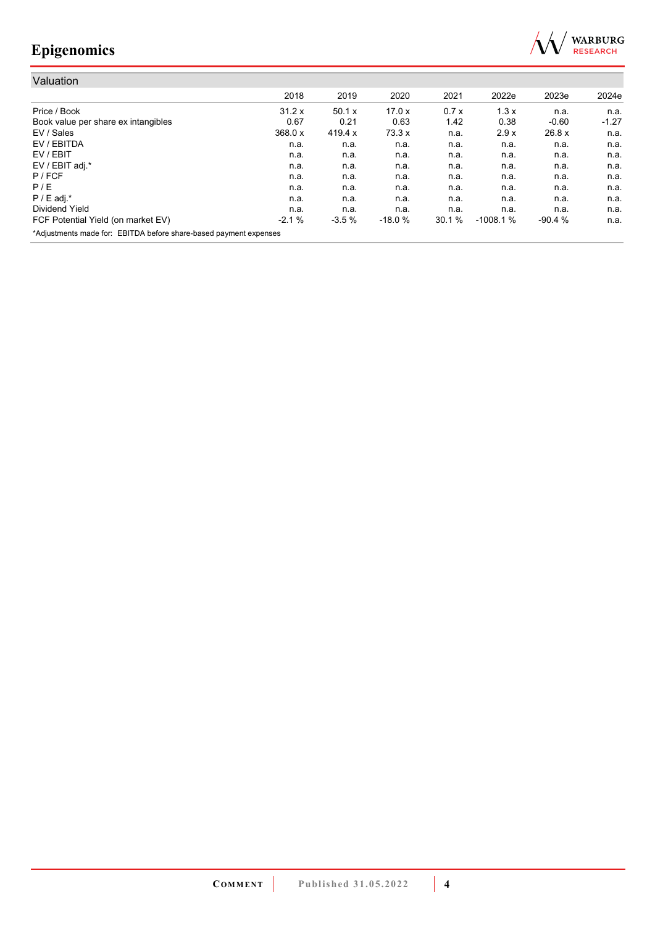

| Valuation                                                         |         |           |          |       |            |          |         |
|-------------------------------------------------------------------|---------|-----------|----------|-------|------------|----------|---------|
|                                                                   | 2018    | 2019      | 2020     | 2021  | 2022e      | 2023e    | 2024e   |
| Price / Book                                                      | 31.2 x  | 50.1 x    | 17.0x    | 0.7x  | 1.3x       | n.a.     | n.a.    |
| Book value per share ex intangibles                               | 0.67    | 0.21      | 0.63     | 1.42  | 0.38       | $-0.60$  | $-1.27$ |
| EV / Sales                                                        | 368.0 x | 419.4 $x$ | 73.3x    | n.a.  | 2.9x       | 26.8 x   | n.a.    |
| EV / EBITDA                                                       | n.a.    | n.a.      | n.a.     | n.a.  | n.a.       | n.a.     | n.a.    |
| EV / EBIT                                                         | n.a.    | n.a.      | n.a.     | n.a.  | n.a.       | n.a.     | n.a.    |
| EV / EBIT adj.*                                                   | n.a.    | n.a.      | n.a.     | n.a.  | n.a.       | n.a.     | n.a.    |
| P / FCF                                                           | n.a.    | n.a.      | n.a.     | n.a.  | n.a.       | n.a.     | n.a.    |
| P/E                                                               | n.a.    | n.a.      | n.a.     | n.a.  | n.a.       | n.a.     | n.a.    |
| $P / E$ adj.*                                                     | n.a.    | n.a.      | n.a.     | n.a.  | n.a.       | n.a.     | n.a.    |
| Dividend Yield                                                    | n.a.    | n.a.      | n.a.     | n.a.  | n.a.       | n.a.     | n.a.    |
| FCF Potential Yield (on market EV)                                | $-2.1%$ | $-3.5%$   | $-18.0%$ | 30.1% | $-1008.1%$ | $-90.4%$ | n.a.    |
| *Adjustments made for: EBITDA before share-based payment expenses |         |           |          |       |            |          |         |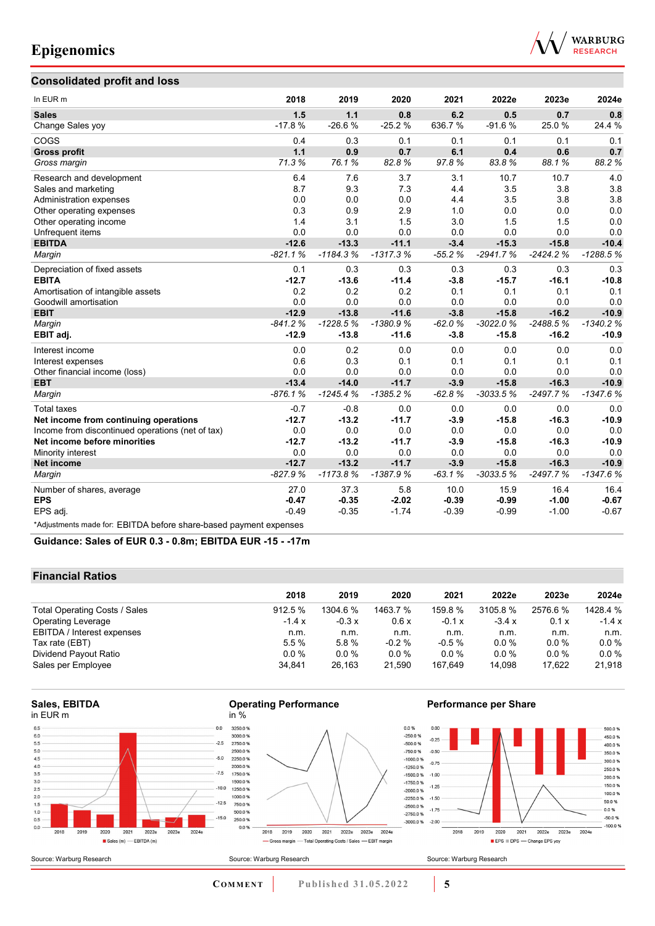

### **Consolidated profit and loss**

| In EUR m                                                          | 2018      | 2019       | 2020       | 2021     | 2022e      | 2023e      | 2024e      |
|-------------------------------------------------------------------|-----------|------------|------------|----------|------------|------------|------------|
| <b>Sales</b>                                                      | 1.5       | 1.1        | 0.8        | 6.2      | 0.5        | 0.7        | 0.8        |
| Change Sales yoy                                                  | $-17.8%$  | $-26.6%$   | $-25.2%$   | 636.7%   | $-91.6%$   | 25.0%      | 24.4 %     |
| COGS                                                              | 0.4       | 0.3        | 0.1        | 0.1      | 0.1        | 0.1        | 0.1        |
| <b>Gross profit</b>                                               | 1.1       | 0.9        | 0.7        | 6.1      | 0.4        | 0.6        | 0.7        |
| Gross margin                                                      | 71.3%     | 76.1%      | 82.8%      | 97.8%    | 83.8%      | 88.1%      | 88.2%      |
| Research and development                                          | 6.4       | 7.6        | 3.7        | 3.1      | 10.7       | 10.7       | 4.0        |
| Sales and marketing                                               | 8.7       | 9.3        | 7.3        | 4.4      | 3.5        | 3.8        | 3.8        |
| Administration expenses                                           | 0.0       | 0.0        | 0.0        | 4.4      | 3.5        | 3.8        | 3.8        |
| Other operating expenses                                          | 0.3       | 0.9        | 2.9        | 1.0      | 0.0        | 0.0        | 0.0        |
| Other operating income                                            | 1.4       | 3.1        | 1.5        | 3.0      | 1.5        | 1.5        | 0.0        |
| Unfrequent items                                                  | 0.0       | 0.0        | 0.0        | 0.0      | 0.0        | 0.0        | 0.0        |
| <b>EBITDA</b>                                                     | $-12.6$   | $-13.3$    | $-11.1$    | $-3.4$   | $-15.3$    | $-15.8$    | $-10.4$    |
| Margin                                                            | $-821.1%$ | $-1184.3%$ | $-1317.3%$ | $-55.2%$ | $-2941.7%$ | $-2424.2%$ | $-1288.5%$ |
| Depreciation of fixed assets                                      | 0.1       | 0.3        | 0.3        | 0.3      | 0.3        | 0.3        | 0.3        |
| <b>EBITA</b>                                                      | $-12.7$   | $-13.6$    | $-11.4$    | $-3.8$   | $-15.7$    | $-16.1$    | $-10.8$    |
| Amortisation of intangible assets                                 | 0.2       | 0.2        | 0.2        | 0.1      | 0.1        | 0.1        | 0.1        |
| Goodwill amortisation                                             | 0.0       | 0.0        | 0.0        | 0.0      | 0.0        | 0.0        | 0.0        |
| <b>EBIT</b>                                                       | $-12.9$   | $-13.8$    | $-11.6$    | $-3.8$   | $-15.8$    | $-16.2$    | $-10.9$    |
| Margin                                                            | $-841.2%$ | $-1228.5%$ | $-1380.9%$ | $-62.0%$ | $-3022.0%$ | $-2488.5%$ | $-1340.2%$ |
| EBIT adj.                                                         | $-12.9$   | $-13.8$    | $-11.6$    | $-3.8$   | $-15.8$    | $-16.2$    | $-10.9$    |
| Interest income                                                   | 0.0       | 0.2        | 0.0        | 0.0      | 0.0        | 0.0        | 0.0        |
| Interest expenses                                                 | 0.6       | 0.3        | 0.1        | 0.1      | 0.1        | 0.1        | 0.1        |
| Other financial income (loss)                                     | 0.0       | 0.0        | 0.0        | 0.0      | 0.0        | 0.0        | 0.0        |
| <b>EBT</b>                                                        | $-13.4$   | $-14.0$    | $-11.7$    | $-3.9$   | $-15.8$    | $-16.3$    | $-10.9$    |
| Margin                                                            | $-876.1%$ | $-1245.4%$ | $-1385.2%$ | $-62.8%$ | $-3033.5%$ | -2497.7%   | $-1347.6%$ |
| <b>Total taxes</b>                                                | $-0.7$    | $-0.8$     | 0.0        | 0.0      | 0.0        | 0.0        | 0.0        |
| Net income from continuing operations                             | $-12.7$   | $-13.2$    | $-11.7$    | $-3.9$   | $-15.8$    | $-16.3$    | $-10.9$    |
| Income from discontinued operations (net of tax)                  | 0.0       | 0.0        | 0.0        | 0.0      | 0.0        | 0.0        | 0.0        |
| Net income before minorities                                      | $-12.7$   | $-13.2$    | $-11.7$    | $-3.9$   | $-15.8$    | $-16.3$    | $-10.9$    |
| Minority interest                                                 | 0.0       | 0.0        | 0.0        | 0.0      | 0.0        | 0.0        | 0.0        |
| <b>Net income</b>                                                 | $-12.7$   | $-13.2$    | $-11.7$    | $-3.9$   | $-15.8$    | $-16.3$    | $-10.9$    |
| Margin                                                            | $-827.9%$ | $-1173.8%$ | $-1387.9%$ | $-63.1%$ | $-3033.5%$ | $-2497.7%$ | $-1347.6%$ |
| Number of shares, average                                         | 27.0      | 37.3       | 5.8        | 10.0     | 15.9       | 16.4       | 16.4       |
| <b>EPS</b>                                                        | $-0.47$   | $-0.35$    | $-2.02$    | $-0.39$  | $-0.99$    | $-1.00$    | $-0.67$    |
| EPS adj.                                                          | $-0.49$   | $-0.35$    | $-1.74$    | $-0.39$  | $-0.99$    | $-1.00$    | $-0.67$    |
| *Adjustments made for: EBITDA before share-based payment expenses |           |            |            |          |            |            |            |

**Guidance: Sales of EUR 0.3 - 0.8m; EBITDA EUR -15 - -17m**

| <b>Financial Ratios</b>              |          |         |          |          |          |         |          |  |  |
|--------------------------------------|----------|---------|----------|----------|----------|---------|----------|--|--|
|                                      | 2018     | 2019    | 2020     | 2021     | 2022e    | 2023e   | 2024e    |  |  |
| <b>Total Operating Costs / Sales</b> | 912.5%   | 1304.6% | 1463.7 % | 159.8%   | 3105.8 % | 2576.6% | 1428.4 % |  |  |
| <b>Operating Leverage</b>            | $-1.4x$  | $-0.3x$ | 0.6x     | $-0.1 x$ | $-3.4x$  | 0.1 x   | $-1.4x$  |  |  |
| EBITDA / Interest expenses           | n.m.     | n.m.    | n.m.     | n.m.     | n.m.     | n.m.    | n.m.     |  |  |
| Tax rate (EBT)                       | 5.5%     | 5.8%    | $-0.2%$  | $-0.5%$  | $0.0\%$  | $0.0\%$ | $0.0\%$  |  |  |
| Dividend Payout Ratio                | $0.0 \%$ | $0.0\%$ | $0.0\%$  | $0.0\%$  | $0.0\%$  | $0.0\%$ | $0.0\%$  |  |  |
| Sales per Employee                   | 34.841   | 26,163  | 21.590   | 167.649  | 14,098   | 17,622  | 21,918   |  |  |

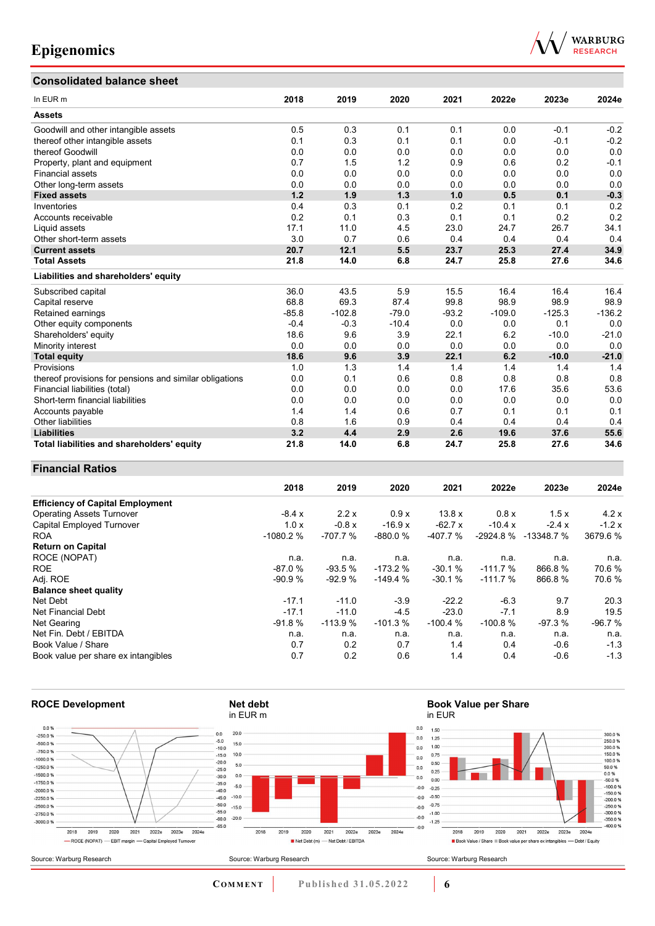### **Consolidated balance sheet**



| oonsonaatea palanee sheet                               |         |          |         |         |          |          |          |
|---------------------------------------------------------|---------|----------|---------|---------|----------|----------|----------|
| In EUR <sub>m</sub>                                     | 2018    | 2019     | 2020    | 2021    | 2022e    | 2023e    | 2024e    |
| <b>Assets</b>                                           |         |          |         |         |          |          |          |
| Goodwill and other intangible assets                    | 0.5     | 0.3      | 0.1     | 0.1     | 0.0      | $-0.1$   | $-0.2$   |
| thereof other intangible assets                         | 0.1     | 0.3      | 0.1     | 0.1     | 0.0      | $-0.1$   | $-0.2$   |
| thereof Goodwill                                        | 0.0     | 0.0      | 0.0     | 0.0     | 0.0      | 0.0      | 0.0      |
| Property, plant and equipment                           | 0.7     | 1.5      | 1.2     | 0.9     | 0.6      | 0.2      | $-0.1$   |
| <b>Financial assets</b>                                 | 0.0     | 0.0      | 0.0     | 0.0     | 0.0      | 0.0      | 0.0      |
| Other long-term assets                                  | 0.0     | 0.0      | 0.0     | 0.0     | 0.0      | 0.0      | 0.0      |
| <b>Fixed assets</b>                                     | 1.2     | 1.9      | 1.3     | 1.0     | 0.5      | 0.1      | $-0.3$   |
| Inventories                                             | 0.4     | 0.3      | 0.1     | 0.2     | 0.1      | 0.1      | 0.2      |
| Accounts receivable                                     | 0.2     | 0.1      | 0.3     | 0.1     | 0.1      | 0.2      | 0.2      |
| Liquid assets                                           | 17.1    | 11.0     | 4.5     | 23.0    | 24.7     | 26.7     | 34.1     |
| Other short-term assets                                 | 3.0     | 0.7      | 0.6     | 0.4     | 0.4      | 0.4      | 0.4      |
| <b>Current assets</b>                                   | 20.7    | 12.1     | 5.5     | 23.7    | 25.3     | 27.4     | 34.9     |
| <b>Total Assets</b>                                     | 21.8    | 14.0     | 6.8     | 24.7    | 25.8     | 27.6     | 34.6     |
| Liabilities and shareholders' equity                    |         |          |         |         |          |          |          |
| Subscribed capital                                      | 36.0    | 43.5     | 5.9     | 15.5    | 16.4     | 16.4     | 16.4     |
| Capital reserve                                         | 68.8    | 69.3     | 87.4    | 99.8    | 98.9     | 98.9     | 98.9     |
| Retained earnings                                       | $-85.8$ | $-102.8$ | $-79.0$ | $-93.2$ | $-109.0$ | $-125.3$ | $-136.2$ |
| Other equity components                                 | $-0.4$  | $-0.3$   | $-10.4$ | 0.0     | 0.0      | 0.1      | 0.0      |
| Shareholders' equity                                    | 18.6    | 9.6      | 3.9     | 22.1    | 6.2      | $-10.0$  | $-21.0$  |
| Minority interest                                       | 0.0     | 0.0      | 0.0     | 0.0     | 0.0      | 0.0      | 0.0      |
| <b>Total equity</b>                                     | 18.6    | 9.6      | 3.9     | 22.1    | 6.2      | $-10.0$  | $-21.0$  |
| Provisions                                              | 1.0     | 1.3      | 1.4     | 1.4     | 1.4      | 1.4      | 1.4      |
| thereof provisions for pensions and similar obligations | 0.0     | 0.1      | 0.6     | 0.8     | 0.8      | 0.8      | 0.8      |
| Financial liabilities (total)                           | 0.0     | 0.0      | 0.0     | 0.0     | 17.6     | 35.6     | 53.6     |
| Short-term financial liabilities                        | 0.0     | 0.0      | 0.0     | 0.0     | 0.0      | 0.0      | 0.0      |
| Accounts payable                                        | 1.4     | 1.4      | 0.6     | 0.7     | 0.1      | 0.1      | 0.1      |
| <b>Other liabilities</b>                                | 0.8     | 1.6      | 0.9     | 0.4     | 0.4      | 0.4      | 0.4      |
| <b>Liabilities</b>                                      | 3.2     | 4.4      | 2.9     | 2.6     | 19.6     | 37.6     | 55.6     |
| Total liabilities and shareholders' equity              | 21.8    | 14.0     | 6.8     | 24.7    | 25.8     | 27.6     | 34.6     |

### **Financial Ratios**

|                                         | 2018       | 2019      | 2020      | 2021           | 2022e      | 2023e      | 2024e    |
|-----------------------------------------|------------|-----------|-----------|----------------|------------|------------|----------|
| <b>Efficiency of Capital Employment</b> |            |           |           |                |            |            |          |
| <b>Operating Assets Turnover</b>        | $-8.4x$    | 2.2x      | 0.9x      | 13.8x          | 0.8 x      | 1.5x       | 4.2x     |
| Capital Employed Turnover               | 1.0x       | $-0.8x$   | $-16.9x$  | $-62.7 \times$ | $-10.4 x$  | $-2.4x$    | $-1.2x$  |
| <b>ROA</b>                              | $-1080.2%$ | $-707.7%$ | $-880.0%$ | $-407.7%$      | $-2924.8%$ | -13348.7 % | 3679.6%  |
| <b>Return on Capital</b>                |            |           |           |                |            |            |          |
| ROCE (NOPAT)                            | n.a.       | n.a.      | n.a.      | n.a.           | n.a.       | n.a.       | n.a.     |
| <b>ROE</b>                              | $-87.0%$   | $-93.5%$  | $-173.2%$ | $-30.1%$       | $-111.7%$  | 866.8%     | 70.6%    |
| Adj. ROE                                | $-90.9%$   | $-92.9%$  | $-149.4%$ | $-30.1%$       | $-111.7%$  | 866.8%     | 70.6 %   |
| <b>Balance sheet quality</b>            |            |           |           |                |            |            |          |
| Net Debt                                | $-17.1$    | $-11.0$   | $-3.9$    | $-22.2$        | $-6.3$     | 9.7        | 20.3     |
| Net Financial Debt                      | $-17.1$    | $-11.0$   | $-4.5$    | $-23.0$        | $-7.1$     | 8.9        | 19.5     |
| Net Gearing                             | $-91.8%$   | $-113.9%$ | $-101.3%$ | $-100.4%$      | $-100.8%$  | $-97.3%$   | $-96.7%$ |
| Net Fin. Debt / EBITDA                  | n.a.       | n.a.      | n.a.      | n.a.           | n.a.       | n.a.       | n.a.     |
| Book Value / Share                      | 0.7        | 0.2       | 0.7       | 1.4            | 0.4        | $-0.6$     | $-1.3$   |
| Book value per share ex intangibles     | 0.7        | 0.2       | 0.6       | 1.4            | 0.4        | $-0.6$     | $-1.3$   |

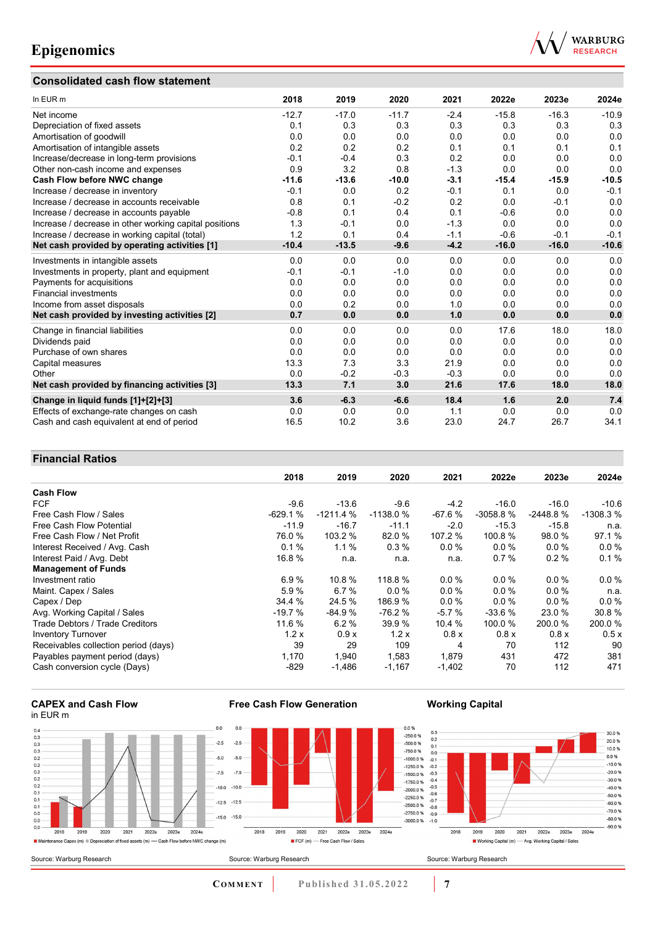### **Consolidated cash flow statement**



| In EUR m                                               | 2018    | 2019    | 2020    | 2021   | 2022e   | 2023e   | 2024e   |
|--------------------------------------------------------|---------|---------|---------|--------|---------|---------|---------|
| Net income                                             | $-12.7$ | $-17.0$ | $-11.7$ | $-2.4$ | $-15.8$ | $-16.3$ | $-10.9$ |
| Depreciation of fixed assets                           | 0.1     | 0.3     | 0.3     | 0.3    | 0.3     | 0.3     | 0.3     |
| Amortisation of goodwill                               | 0.0     | 0.0     | 0.0     | 0.0    | 0.0     | 0.0     | 0.0     |
| Amortisation of intangible assets                      | 0.2     | 0.2     | 0.2     | 0.1    | 0.1     | 0.1     | 0.1     |
| Increase/decrease in long-term provisions              | $-0.1$  | $-0.4$  | 0.3     | 0.2    | 0.0     | 0.0     | 0.0     |
| Other non-cash income and expenses                     | 0.9     | 3.2     | 0.8     | $-1.3$ | 0.0     | 0.0     | 0.0     |
| Cash Flow before NWC change                            | $-11.6$ | $-13.6$ | $-10.0$ | $-3.1$ | $-15.4$ | $-15.9$ | $-10.5$ |
| Increase / decrease in inventory                       | $-0.1$  | 0.0     | 0.2     | $-0.1$ | 0.1     | 0.0     | $-0.1$  |
| Increase / decrease in accounts receivable             | 0.8     | 0.1     | $-0.2$  | 0.2    | 0.0     | $-0.1$  | 0.0     |
| Increase / decrease in accounts payable                | $-0.8$  | 0.1     | 0.4     | 0.1    | $-0.6$  | 0.0     | 0.0     |
| Increase / decrease in other working capital positions | 1.3     | $-0.1$  | 0.0     | $-1.3$ | 0.0     | 0.0     | 0.0     |
| Increase / decrease in working capital (total)         | 1.2     | 0.1     | 0.4     | $-1.1$ | $-0.6$  | $-0.1$  | $-0.1$  |
| Net cash provided by operating activities [1]          | $-10.4$ | $-13.5$ | $-9.6$  | $-4.2$ | $-16.0$ | $-16.0$ | $-10.6$ |
| Investments in intangible assets                       | 0.0     | 0.0     | 0.0     | 0.0    | 0.0     | 0.0     | 0.0     |
| Investments in property, plant and equipment           | $-0.1$  | $-0.1$  | $-1.0$  | 0.0    | 0.0     | 0.0     | 0.0     |
| Payments for acquisitions                              | 0.0     | 0.0     | 0.0     | 0.0    | 0.0     | 0.0     | 0.0     |
| <b>Financial investments</b>                           | 0.0     | 0.0     | 0.0     | 0.0    | 0.0     | 0.0     | 0.0     |
| Income from asset disposals                            | 0.0     | 0.2     | 0.0     | 1.0    | 0.0     | 0.0     | 0.0     |
| Net cash provided by investing activities [2]          | 0.7     | 0.0     | 0.0     | 1.0    | 0.0     | 0.0     | 0.0     |
| Change in financial liabilities                        | 0.0     | 0.0     | 0.0     | 0.0    | 17.6    | 18.0    | 18.0    |
| Dividends paid                                         | 0.0     | 0.0     | 0.0     | 0.0    | 0.0     | 0.0     | 0.0     |
| Purchase of own shares                                 | 0.0     | 0.0     | 0.0     | 0.0    | 0.0     | 0.0     | 0.0     |
| Capital measures                                       | 13.3    | 7.3     | 3.3     | 21.9   | 0.0     | 0.0     | 0.0     |
| Other                                                  | 0.0     | $-0.2$  | $-0.3$  | $-0.3$ | 0.0     | 0.0     | 0.0     |
| Net cash provided by financing activities [3]          | 13.3    | 7.1     | 3.0     | 21.6   | 17.6    | 18.0    | 18.0    |
| Change in liquid funds [1]+[2]+[3]                     | 3.6     | $-6.3$  | $-6.6$  | 18.4   | 1.6     | 2.0     | 7.4     |
| Effects of exchange-rate changes on cash               | 0.0     | 0.0     | 0.0     | 1.1    | 0.0     | 0.0     | 0.0     |
| Cash and cash equivalent at end of period              | 16.5    | 10.2    | 3.6     | 23.0   | 24.7    | 26.7    | 34.1    |

### **Financial Ratios**

|                                      | 2018      | 2019       | 2020       | 2021     | 2022e      | 2023e      | 2024e      |
|--------------------------------------|-----------|------------|------------|----------|------------|------------|------------|
| <b>Cash Flow</b>                     |           |            |            |          |            |            |            |
| <b>FCF</b>                           | $-9.6$    | $-13.6$    | $-9.6$     | $-4.2$   | $-16.0$    | $-16.0$    | $-10.6$    |
| Free Cash Flow / Sales               | $-629.1%$ | $-1211.4%$ | $-1138.0%$ | $-67.6%$ | $-3058.8%$ | $-2448.8%$ | $-1308.3%$ |
| <b>Free Cash Flow Potential</b>      | $-11.9$   | $-16.7$    | $-11.1$    | $-2.0$   | $-15.3$    | $-15.8$    | n.a.       |
| Free Cash Flow / Net Profit          | 76.0 %    | 103.2 %    | 82.0 %     | 107.2 %  | 100.8 %    | 98.0 %     | 97.1 %     |
| Interest Received / Avg. Cash        | 0.1%      | $1.1\%$    | 0.3%       | $0.0\%$  | 0.0%       | $0.0\%$    | $0.0\%$    |
| Interest Paid / Avg. Debt            | 16.8 %    | n.a.       | n.a.       | n.a.     | 0.7%       | 0.2%       | 0.1%       |
| <b>Management of Funds</b>           |           |            |            |          |            |            |            |
| Investment ratio                     | 6.9%      | 10.8%      | 118.8 %    | 0.0%     | 0.0%       | $0.0\%$    | $0.0\%$    |
| Maint. Capex / Sales                 | 5.9%      | 6.7%       | 0.0%       | 0.0%     | 0.0%       | $0.0\%$    | n.a.       |
| Capex / Dep                          | 34.4 %    | 24.5 %     | 186.9 %    | $0.0 \%$ | 0.0%       | $0.0\%$    | $0.0\%$    |
| Avg. Working Capital / Sales         | $-19.7%$  | $-84.9%$   | -76.2 %    | $-5.7%$  | $-33.6%$   | 23.0 %     | 30.8%      |
| Trade Debtors / Trade Creditors      | 11.6 %    | 6.2%       | 39.9 %     | 10.4%    | 100.0 %    | 200.0%     | 200.0%     |
| <b>Inventory Turnover</b>            | 1.2x      | 0.9x       | 1.2x       | 0.8x     | 0.8x       | 0.8x       | 0.5x       |
| Receivables collection period (days) | 39        | 29         | 109        | 4        | 70         | 112        | 90         |
| Payables payment period (days)       | 1,170     | 1,940      | 1,583      | 1,879    | 431        | 472        | 381        |
| Cash conversion cycle (Days)         | $-829$    | $-1,486$   | $-1,167$   | $-1,402$ | 70         | 112        | 471        |

#### **CAPEX and Cash Flow** in EUR m



**Free Cash Flow Generation**

**Working Capital**



**COMMENT** Published 31.05.2022 7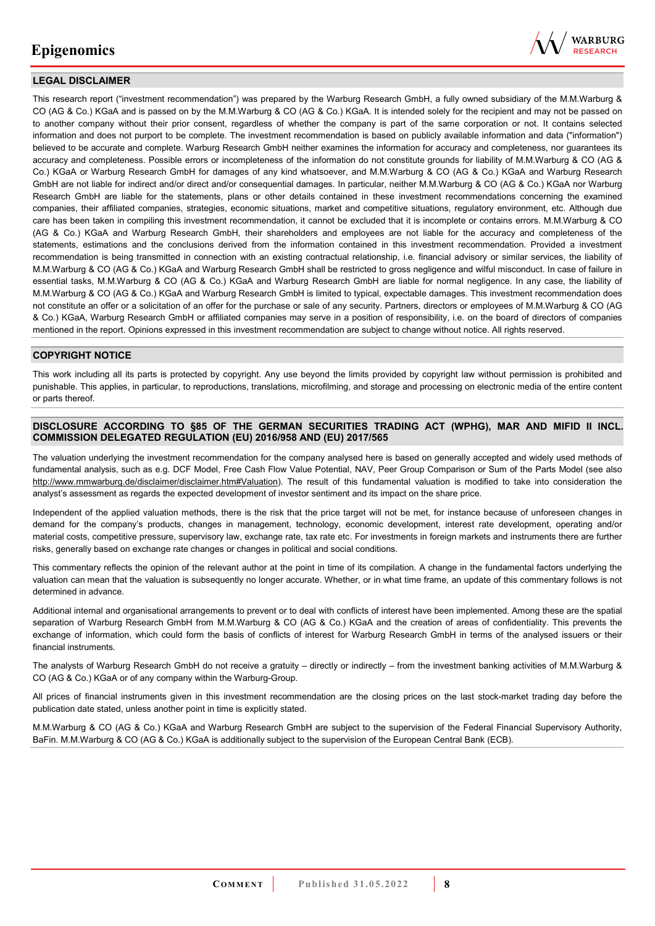

### **LEGAL DISCLAIMER**

This research report ("investment recommendation") was prepared by the Warburg Research GmbH, a fully owned subsidiary of the M.M.Warburg & CO (AG & Co.) KGaA and is passed on by the M.M.Warburg & CO (AG & Co.) KGaA. It is intended solely for the recipient and may not be passed on to another company without their prior consent, regardless of whether the company is part of the same corporation or not. It contains selected information and does not purport to be complete. The investment recommendation is based on publicly available information and data ("information") believed to be accurate and complete. Warburg Research GmbH neither examines the information for accuracy and completeness, nor guarantees its accuracy and completeness. Possible errors or incompleteness of the information do not constitute grounds for liability of M.M.Warburg & CO (AG & Co.) KGaA or Warburg Research GmbH for damages of any kind whatsoever, and M.M.Warburg & CO (AG & Co.) KGaA and Warburg Research GmbH are not liable for indirect and/or direct and/or consequential damages. In particular, neither M.M.Warburg & CO (AG & Co.) KGaA nor Warburg Research GmbH are liable for the statements, plans or other details contained in these investment recommendations concerning the examined companies, their affiliated companies, strategies, economic situations, market and competitive situations, regulatory environment, etc. Although due care has been taken in compiling this investment recommendation, it cannot be excluded that it is incomplete or contains errors. M.M.Warburg & CO (AG & Co.) KGaA and Warburg Research GmbH, their shareholders and employees are not liable for the accuracy and completeness of the statements, estimations and the conclusions derived from the information contained in this investment recommendation. Provided a investment recommendation is being transmitted in connection with an existing contractual relationship, i.e. financial advisory or similar services, the liability of M.M.Warburg & CO (AG & Co.) KGaA and Warburg Research GmbH shall be restricted to gross negligence and wilful misconduct. In case of failure in essential tasks, M.M.Warburg & CO (AG & Co.) KGaA and Warburg Research GmbH are liable for normal negligence. In any case, the liability of M.M.Warburg & CO (AG & Co.) KGaA and Warburg Research GmbH is limited to typical, expectable damages. This investment recommendation does not constitute an offer or a solicitation of an offer for the purchase or sale of any security. Partners, directors or employees of M.M.Warburg & CO (AG & Co.) KGaA, Warburg Research GmbH or affiliated companies may serve in a position of responsibility, i.e. on the board of directors of companies mentioned in the report. Opinions expressed in this investment recommendation are subject to change without notice. All rights reserved.

### **COPYRIGHT NOTICE**

This work including all its parts is protected by copyright. Any use beyond the limits provided by copyright law without permission is prohibited and punishable. This applies, in particular, to reproductions, translations, microfilming, and storage and processing on electronic media of the entire content or parts thereof.

### **DISCLOSURE ACCORDING TO §85 OF THE GERMAN SECURITIES TRADING ACT (WPHG), MAR AND MIFID II INCL. COMMISSION DELEGATED REGULATION (EU) 2016/958 AND (EU) 2017/565**

The valuation underlying the investment recommendation for the company analysed here is based on generally accepted and widely used methods of fundamental analysis, such as e.g. DCF Model, Free Cash Flow Value Potential, NAV, Peer Group Comparison or Sum of the Parts Model (see also [http://www.mmwarburg.de/disclaimer/disclaimer.htm#Valuation\)](http://www.mmwarburg.de/disclaimer/disclaimer.htm#Valuation). The result of this fundamental valuation is modified to take into consideration the analyst's assessment as regards the expected development of investor sentiment and its impact on the share price.

Independent of the applied valuation methods, there is the risk that the price target will not be met, for instance because of unforeseen changes in demand for the company's products, changes in management, technology, economic development, interest rate development, operating and/or material costs, competitive pressure, supervisory law, exchange rate, tax rate etc. For investments in foreign markets and instruments there are further risks, generally based on exchange rate changes or changes in political and social conditions.

This commentary reflects the opinion of the relevant author at the point in time of its compilation. A change in the fundamental factors underlying the valuation can mean that the valuation is subsequently no longer accurate. Whether, or in what time frame, an update of this commentary follows is not determined in advance.

Additional internal and organisational arrangements to prevent or to deal with conflicts of interest have been implemented. Among these are the spatial separation of Warburg Research GmbH from M.M.Warburg & CO (AG & Co.) KGaA and the creation of areas of confidentiality. This prevents the exchange of information, which could form the basis of conflicts of interest for Warburg Research GmbH in terms of the analysed issuers or their financial instruments.

The analysts of Warburg Research GmbH do not receive a gratuity – directly or indirectly – from the investment banking activities of M.M.Warburg & CO (AG & Co.) KGaA or of any company within the Warburg-Group.

All prices of financial instruments given in this investment recommendation are the closing prices on the last stock-market trading day before the publication date stated, unless another point in time is explicitly stated.

M.M.Warburg & CO (AG & Co.) KGaA and Warburg Research GmbH are subject to the supervision of the Federal Financial Supervisory Authority, BaFin. M.M.Warburg & CO (AG & Co.) KGaA is additionally subject to the supervision of the European Central Bank (ECB).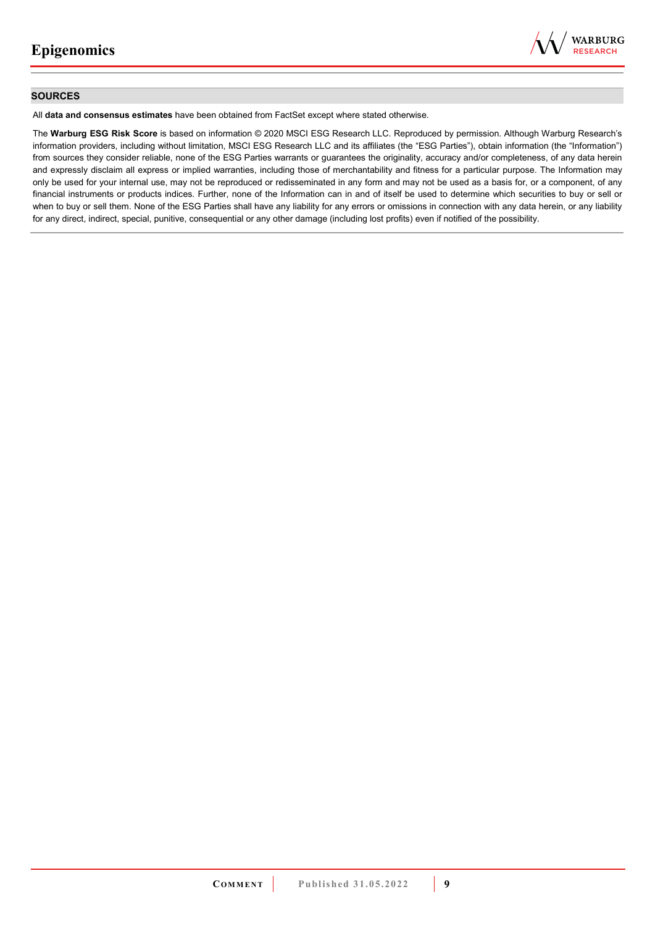

### **SOURCES**

All **data and consensus estimates** have been obtained from FactSet except where stated otherwise.

The **Warburg ESG Risk Score** is based on information © 2020 MSCI ESG Research LLC. Reproduced by permission. Although Warburg Research's information providers, including without limitation, MSCI ESG Research LLC and its affiliates (the "ESG Parties"), obtain information (the "Information") from sources they consider reliable, none of the ESG Parties warrants or guarantees the originality, accuracy and/or completeness, of any data herein and expressly disclaim all express or implied warranties, including those of merchantability and fitness for a particular purpose. The Information may only be used for your internal use, may not be reproduced or redisseminated in any form and may not be used as a basis for, or a component, of any financial instruments or products indices. Further, none of the Information can in and of itself be used to determine which securities to buy or sell or when to buy or sell them. None of the ESG Parties shall have any liability for any errors or omissions in connection with any data herein, or any liability for any direct, indirect, special, punitive, consequential or any other damage (including lost profits) even if notified of the possibility.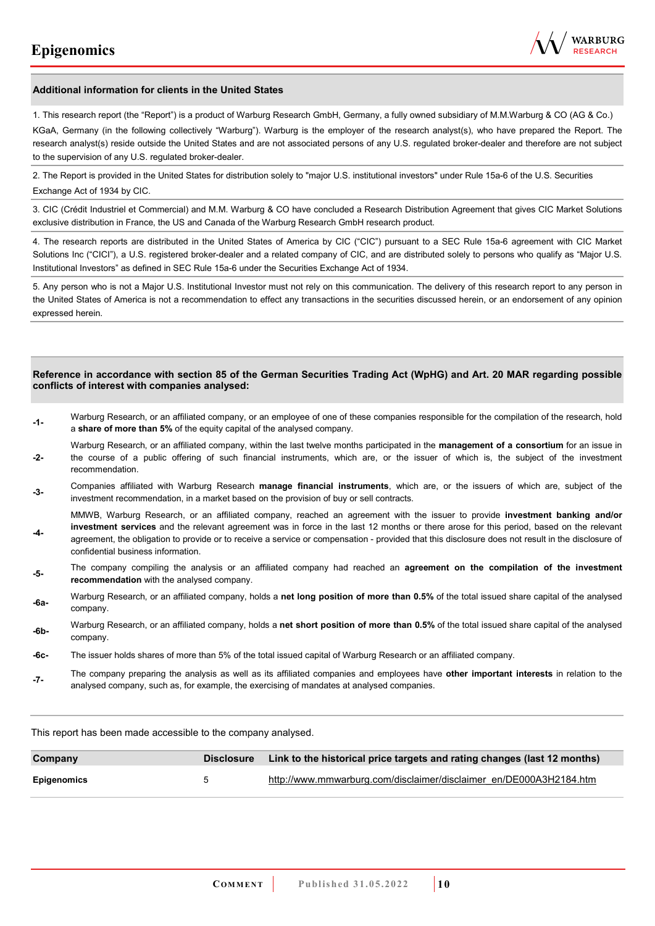

#### **Additional information for clients in the United States**

1. This research report (the "Report") is a product of Warburg Research GmbH, Germany, a fully owned subsidiary of M.M.Warburg & CO (AG & Co.)

KGaA, Germany (in the following collectively "Warburg"). Warburg is the employer of the research analyst(s), who have prepared the Report. The research analyst(s) reside outside the United States and are not associated persons of any U.S. regulated broker-dealer and therefore are not subject to the supervision of any U.S. regulated broker-dealer.

2. The Report is provided in the United States for distribution solely to "major U.S. institutional investors" under Rule 15a-6 of the U.S. Securities Exchange Act of 1934 by CIC.

3. CIC (Crédit Industriel et Commercial) and M.M. Warburg & CO have concluded a Research Distribution Agreement that gives CIC Market Solutions exclusive distribution in France, the US and Canada of the Warburg Research GmbH research product.

4. The research reports are distributed in the United States of America by CIC ("CIC") pursuant to a SEC Rule 15a-6 agreement with CIC Market Solutions Inc ("CICI"), a U.S. registered broker-dealer and a related company of CIC, and are distributed solely to persons who qualify as "Major U.S. Institutional Investors" as defined in SEC Rule 15a-6 under the Securities Exchange Act of 1934.

5. Any person who is not a Major U.S. Institutional Investor must not rely on this communication. The delivery of this research report to any person in the United States of America is not a recommendation to effect any transactions in the securities discussed herein, or an endorsement of any opinion expressed herein.

#### **Reference in accordance with section 85 of the German Securities Trading Act (WpHG) and Art. 20 MAR regarding possible conflicts of interest with companies analysed:**

- **-1-** Warburg Research, or an affiliated company, or an employee of one of these companies responsible for the compilation of the research, hold a **share of more than 5%** of the equity capital of the analysed company.
- **-2-**  Warburg Research, or an affiliated company, within the last twelve months participated in the **management of a consortium** for an issue in the course of a public offering of such financial instruments, which are, or the issuer of which is, the subject of the investment recommendation.
- **-3-** Companies affiliated with Warburg Research **manage financial instruments**, which are, or the issuers of which are, subject of the investment recommendation, in a market based on the provision of buy or sell contracts.

MMWB, Warburg Research, or an affiliated company, reached an agreement with the issuer to provide **investment banking and/or investment services** and the relevant agreement was in force in the last 12 months or there arose for this period, based on the relevant

- **-4**  agreement, the obligation to provide or to receive a service or compensation - provided that this disclosure does not result in the disclosure of confidential business information.
- **-5-** The company compiling the analysis or an affiliated company had reached an **agreement on the compilation of the investment recommendation** with the analysed company.
- **-6a-** Warburg Research, or an affiliated company, holds a **net long position of more than 0.5%** of the total issued share capital of the analysed company.
- **-6b-** Warburg Research, or an affiliated company, holds a **net short position of more than 0.5%** of the total issued share capital of the analysed company.
- **-6c-** The issuer holds shares of more than 5% of the total issued capital of Warburg Research or an affiliated company.
- **-7-** The company preparing the analysis as well as its affiliated companies and employees have **other important interests** in relation to the analysed company, such as, for example, the exercising of mandates at analysed companies.

This report has been made accessible to the company analysed.

| Company     | <b>Disclosure</b>    | Link to the historical price targets and rating changes (last 12 months) |
|-------------|----------------------|--------------------------------------------------------------------------|
| Epigenomics | $\ddot{\phantom{1}}$ | http://www.mmwarburg.com/disclaimer/disclaimer_en/DE000A3H2184.htm       |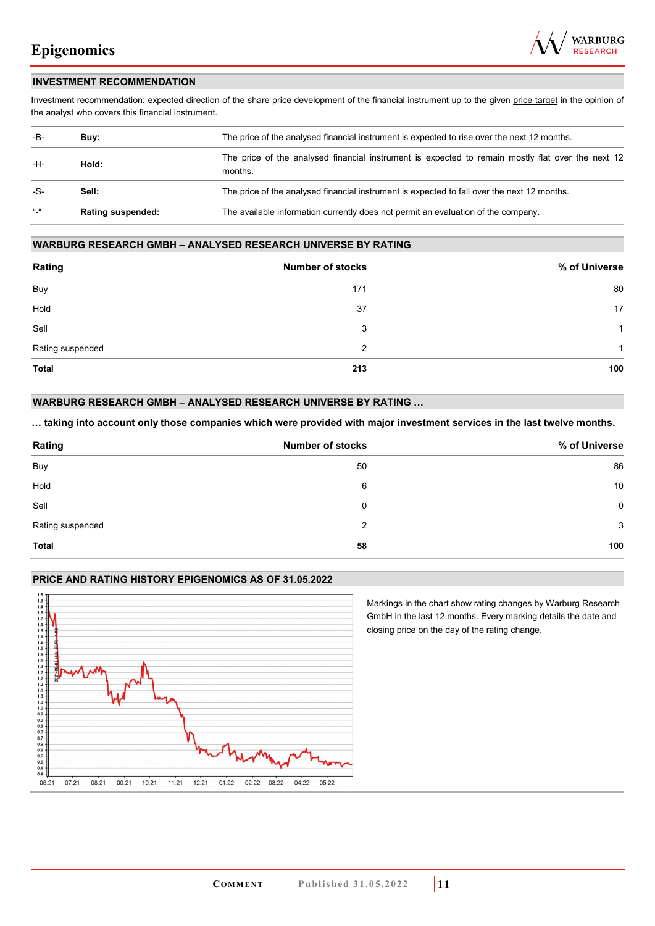

### **INVESTMENT RECOMMENDATION**

Investment recommendation: expected direction of the share price development of the financial instrument up to the given price target in the opinion of the analyst who covers this financial instrument.

| -B-           | Buy:                     | The price of the analysed financial instrument is expected to rise over the next 12 months.                  |  |
|---------------|--------------------------|--------------------------------------------------------------------------------------------------------------|--|
| -H-           | Hold:                    | The price of the analysed financial instrument is expected to remain mostly flat over the next 12<br>months. |  |
| -S-           | Sell:                    | The price of the analysed financial instrument is expected to fall over the next 12 months.                  |  |
| $\frac{1}{2}$ | <b>Rating suspended:</b> | The available information currently does not permit an evaluation of the company.                            |  |

### **WARBURG RESEARCH GMBH – ANALYSED RESEARCH UNIVERSE BY RATING**

| Rating           | <b>Number of stocks</b> | % of Universe  |
|------------------|-------------------------|----------------|
| Buy              | 171                     | 80             |
| Hold             | 37                      | 17             |
| Sell             | 3                       | $\overline{1}$ |
| Rating suspended | 2                       | 1              |
| <b>Total</b>     | 213                     | 100            |

### **WARBURG RESEARCH GMBH – ANALYSED RESEARCH UNIVERSE BY RATING …**

**… taking into account only those companies which were provided with major investment services in the last twelve months.** 

| Rating           | <b>Number of stocks</b> | % of Universe |
|------------------|-------------------------|---------------|
| Buy              | 50                      | 86            |
| Hold             | 6                       | 10            |
| Sell             | 0                       | 0             |
| Rating suspended | 2                       | 3             |
| <b>Total</b>     | 58                      | 100           |

#### **PRICE AND RATING HISTORY EPIGENOMICS AS OF 31.05.2022**



Markings in the chart show rating changes by Warburg Research GmbH in the last 12 months. Every marking details the date and closing price on the day of the rating change.